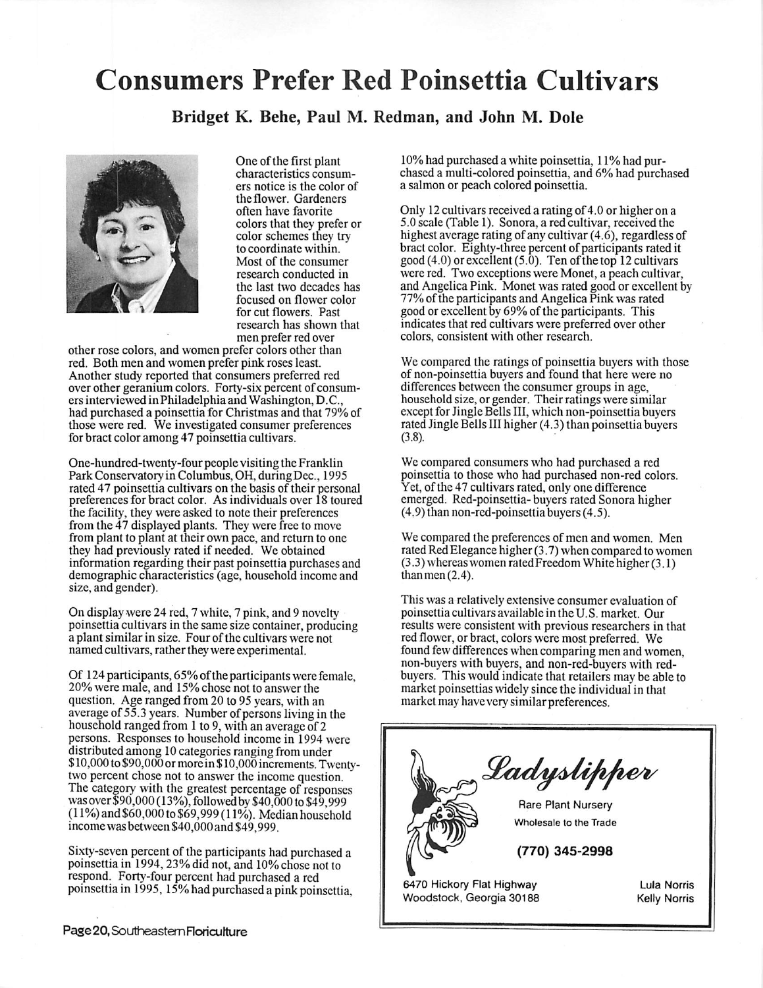## Consumers Prefer Red Poinsettia Cultivars

Bridget K. Behe, Paul M. Redman, and John M. Dole



One of the first plant characteristics consumers notice is the color of the flower. Gardeners often have favorite colors that they prefer or color schemes they try to coordinate within. Most of the consumer research conducted in the last two decades has focused on flower color for cut flowers. Past research has shown that men prefer red over

other rose colors, and women prefer colors other than red. Both men and women prefer pink roses least. Another study reported that consumers preferred red over other geranium colors. Forty-six percent of consumersinterviewed inPhiladelphia and Washington, D.C., had purchased a poinsettia for Christmas and that 79% of those were red. We investigated consumer preferences for bract color among 47 poinsettia cultivars.

One-hundred-twenty-four people visiting the Franklin Park Conservatory in Columbus, OH, duringDec, 1995 rated 47 poinsettia cultivars on the basis of their personal preferences for bract color. As individuals over 18 toured the facility, they were asked to note their preferences from the 47 displayed plants. They were free to move from plant to plant at their own pace, and return to one they had previously rated if needed. We obtained information regarding their past poinsettia purchases and demographic characteristics (age, household income and size, and gender).

On display were 24 red, 7 white, 7 pink, and 9 novelty poinsettia cultivars in the same size container, producing a plant similar in size. Four of the cultivars were not named cultivars, rather they were experimental.

Of 124 participants, 65% of the participants were female, 20% were male, and 15% chose not to answer the question. Age ranged from 20 to 95 years, with an average of 55.3 years. Number of persons living in the household ranged from 1 to 9, with an average of 2 persons. Responses to household income in 1994 were distributed among 10 categories ranging from under \$10,000 to\$90,000 ormore in\$10,000 increments.Twentytwo percent chose not to answer the income question. The category with the greatest percentage of responses was over \$90,000 (13%), followed by \$40,000 to \$49,999 (11%)and \$60,000 to\$69,999 (11%). Median household income was between \$40,000 and \$49,999.

Sixty-seven percent of the participants had purchased a poinsettia in 1994, 23% did not, and 10% chose not to respond. Forty-four percent had purchased a red poinsettia in 1995, 15% had purchased a pink poinsettia.

10% had purchased a white poinsettia, 11% had pur chased a multi-colored poinsettia, and 6% had purchased a salmon or peach colored poinsettia.

Only 12cultivars received a rating of 4.0 or higher on a 5.0 scale (Table 1). Sonora, a red cultivar, received the highest average rating of any cultivar (4.6), regardless of bract color. Eighty-three percent of participants rated it good  $(4.0)$  or excellent  $(5.0)$ . Ten of the top 12 cultivars were red. Two exceptions were Monet, a peach cultivar, and Angelica Pink. Monet was rated good or excellent by 77% of the participants and Angelica Pink was rated good or excellent by 69% of the participants. This indicates that red cultivars were preferred over other colors, consistent with other research.

We compared the ratings of poinsettia buyers with those of non-poinsettia buyers and found that here were no differences between the consumer groups in age, household size, or gender. Their ratings were similar except for Jingle Bells III, which non-poinsettia buyers rated Jingle Bells III higher (4.3) than poinsettia buyers (3.8).

We compared consumers who had purchased a red poinsettia to those who had purchased non-red colors. Yet, of the 47 cultivars rated, only one difference emerged. Red-poinsettia- buyers rated Sonora higher (4.9) than non-red-poinsettia buyers (4.5).

We compared the preferences of men and women. Men rated RedElegance higher (3.7) when compared to women (3.3)whereaswomen ratedFreedom White higher (3.1) than men $(2.4)$ .

This was a relatively extensive consumer evaluation of poinsettia cultivars available in the U.S. market. Our results were consistent with previous researchers in that red flower, or bract, colors were most preferred. We found fewdifferences when comparing men and women, non-buyers with buyers, and non-red-buyers with redbuyers. This would indicate that retailers may be able to market poinsettias widely since the individual in that market may have very similar preferences.



6470 Hickory Flat Highway Woodstock, Georgia 30188

Lula Norris Kelly Norris